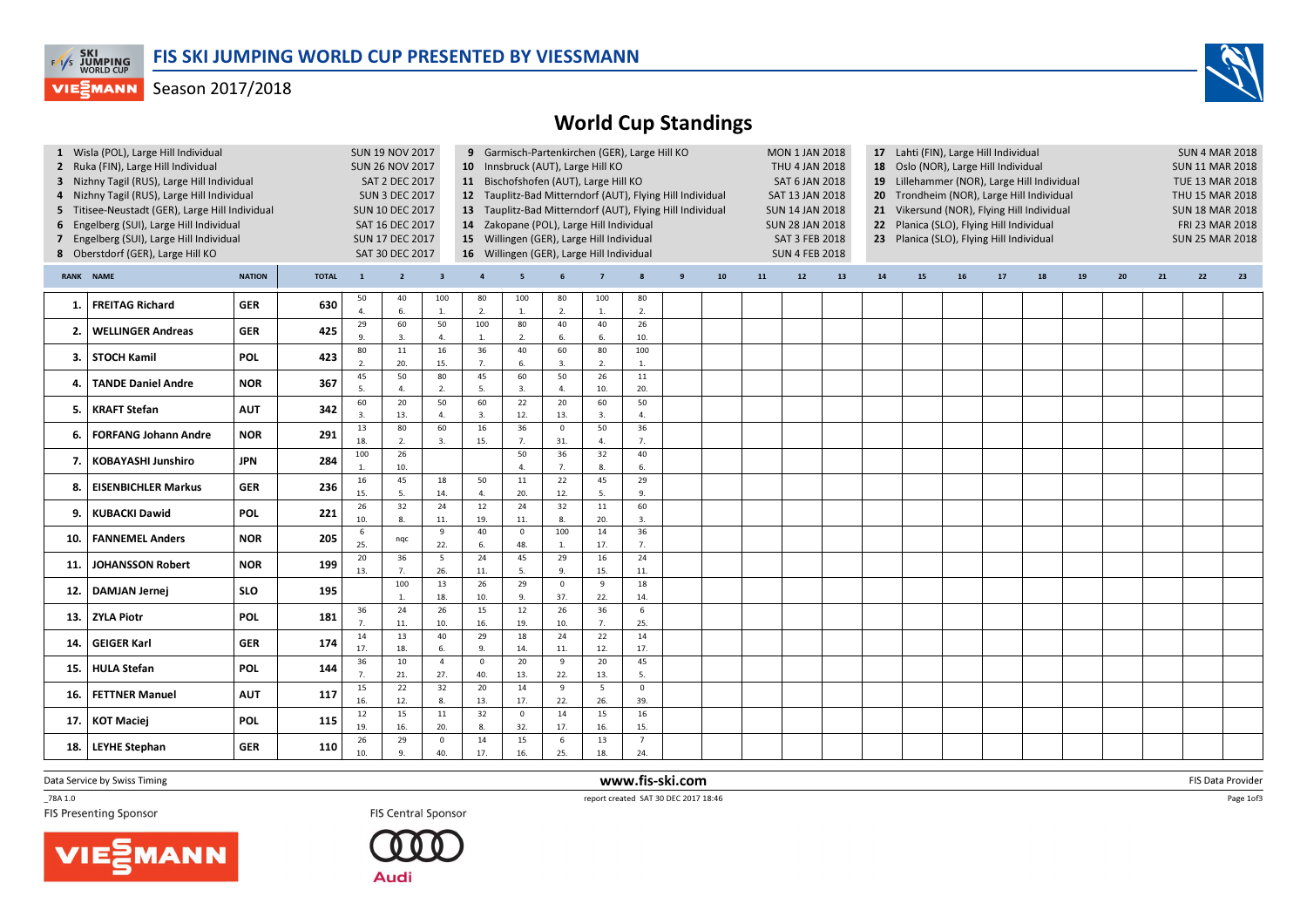

## **VIESMANN** Season 2017/2018

## World Cup Standings

|                                                                                                                                                                                                                                                                                                                                                                                                                                                                                                                                                                                                                                                                                                                                    |                             |               | <b>SUN 19 NOV 2017</b><br><b>SUN 26 NOV 2017</b><br>SAT 2 DEC 2017<br><b>SUN 3 DEC 2017</b><br><b>SUN 10 DEC 2017</b><br>SAT 16 DEC 2017<br><b>SUN 17 DEC 2017</b><br>SAT 30 DEC 2017 |                               | 9 Garmisch-Partenkirchen (GER), Large Hill KO<br>10 Innsbruck (AUT), Large Hill KO<br>11 Bischofshofen (AUT), Large Hill KO<br>12 Tauplitz-Bad Mitterndorf (AUT), Flying Hill Individual<br>13 Tauplitz-Bad Mitterndorf (AUT), Flying Hill Individual<br>14 Zakopane (POL), Large Hill Individual<br>15 Willingen (GER), Large Hill Individual<br>16 Willingen (GER), Large Hill Individual |                         |                        |                        |                       |                |                                |              | <b>MON 1 JAN 2018</b><br>THU 4 JAN 2018<br>SAT 6 JAN 2018<br>SAT 13 JAN 2018<br><b>SUN 14 JAN 2018</b><br><b>SUN 28 JAN 2018</b><br>SAT 3 FEB 2018<br><b>SUN 4 FEB 2018</b> |    | 17 Lahti (FIN), Large Hill Individual<br>18 Oslo (NOR), Large Hill Individual<br>19 Lillehammer (NOR), Large Hill Individual<br>20 Trondheim (NOR), Large Hill Individual<br>21 Vikersund (NOR), Flying Hill Individual<br>22 Planica (SLO), Flying Hill Individual<br>23 Planica (SLO), Flying Hill Individual |    |    |    |    |    |    |    | <b>SUN 4 MAR 2018</b><br><b>SUN 11 MAR 2018</b><br><b>TUE 13 MAR 2018</b><br>THU 15 MAR 2018<br><b>SUN 18 MAR 2018</b><br>FRI 23 MAR 2018<br><b>SUN 25 MAR 2018</b> |    |    |    |
|------------------------------------------------------------------------------------------------------------------------------------------------------------------------------------------------------------------------------------------------------------------------------------------------------------------------------------------------------------------------------------------------------------------------------------------------------------------------------------------------------------------------------------------------------------------------------------------------------------------------------------------------------------------------------------------------------------------------------------|-----------------------------|---------------|---------------------------------------------------------------------------------------------------------------------------------------------------------------------------------------|-------------------------------|---------------------------------------------------------------------------------------------------------------------------------------------------------------------------------------------------------------------------------------------------------------------------------------------------------------------------------------------------------------------------------------------|-------------------------|------------------------|------------------------|-----------------------|----------------|--------------------------------|--------------|-----------------------------------------------------------------------------------------------------------------------------------------------------------------------------|----|-----------------------------------------------------------------------------------------------------------------------------------------------------------------------------------------------------------------------------------------------------------------------------------------------------------------|----|----|----|----|----|----|----|---------------------------------------------------------------------------------------------------------------------------------------------------------------------|----|----|----|
| 1 Wisla (POL), Large Hill Individual<br>2 Ruka (FIN), Large Hill Individual<br>3 Nizhny Tagil (RUS), Large Hill Individual<br>4 Nizhny Tagil (RUS), Large Hill Individual<br>5 Titisee-Neustadt (GER), Large Hill Individual<br>6 Engelberg (SUI), Large Hill Individual<br>7 Engelberg (SUI), Large Hill Individual<br>8 Oberstdorf (GER), Large Hill KO<br><b>RANK NAME</b><br><b>FREITAG Richard</b><br>1.<br><b>WELLINGER Andreas</b><br>2.<br>3. STOCH Kamil<br><b>TANDE Daniel Andre</b><br>4.<br><b>KRAFT Stefan</b><br>5.<br><b>KOBAYASHI Junshiro</b><br><b>EISENBICHLER Markus</b><br>8.<br><b>KUBACKI Dawid</b><br>9.<br><b>FANNEMEL Anders</b><br>10.<br><b>JOHANSSON Robert</b><br>11.<br><b>DAMJAN Jernei</b><br>12. |                             | <b>NATION</b> | <b>TOTAL</b>                                                                                                                                                                          | $\mathbf{1}$                  | $\overline{2}$                                                                                                                                                                                                                                                                                                                                                                              | $\overline{\mathbf{3}}$ | $\overline{a}$         | 5                      |                       | $\overline{7}$ |                                | $\mathbf{g}$ | 10                                                                                                                                                                          | 11 | $12$                                                                                                                                                                                                                                                                                                            | 13 | 14 | 15 | 16 | 17 | 18 | 19 | 20                                                                                                                                                                  | 21 | 22 | 23 |
|                                                                                                                                                                                                                                                                                                                                                                                                                                                                                                                                                                                                                                                                                                                                    |                             | <b>GER</b>    | 630                                                                                                                                                                                   | 50<br>4.                      | 40<br>6.                                                                                                                                                                                                                                                                                                                                                                                    | 100<br>1.               | 80<br>2.               | 100<br>1.              | 80<br>$\overline{2}$  | 100<br>1.      | 80<br>2.                       |              |                                                                                                                                                                             |    |                                                                                                                                                                                                                                                                                                                 |    |    |    |    |    |    |    |                                                                                                                                                                     |    |    |    |
|                                                                                                                                                                                                                                                                                                                                                                                                                                                                                                                                                                                                                                                                                                                                    |                             | <b>GER</b>    | 425                                                                                                                                                                                   | 29<br>9.                      | 60<br>3.                                                                                                                                                                                                                                                                                                                                                                                    | 50<br>4.                | 100<br>$\mathbf{1}$    | 80<br>2.               | 40<br>6               | 40<br>6.       | 26<br>10.                      |              |                                                                                                                                                                             |    |                                                                                                                                                                                                                                                                                                                 |    |    |    |    |    |    |    |                                                                                                                                                                     |    |    |    |
|                                                                                                                                                                                                                                                                                                                                                                                                                                                                                                                                                                                                                                                                                                                                    |                             | <b>POL</b>    | 423                                                                                                                                                                                   | 80<br>$\overline{2}$ .        | $11\,$<br>20.                                                                                                                                                                                                                                                                                                                                                                               | 16<br>15.               | 36<br>7 <sub>1</sub>   | 40<br>6.               | 60<br>$\overline{3}$  | 80<br>2.       | 100<br>1.                      |              |                                                                                                                                                                             |    |                                                                                                                                                                                                                                                                                                                 |    |    |    |    |    |    |    |                                                                                                                                                                     |    |    |    |
|                                                                                                                                                                                                                                                                                                                                                                                                                                                                                                                                                                                                                                                                                                                                    |                             | <b>NOR</b>    | 367                                                                                                                                                                                   | 45<br>$\overline{5}$          | 50<br>$\Delta$                                                                                                                                                                                                                                                                                                                                                                              | 80<br>2.                | 45<br>$\overline{5}$ . | 60<br>3.               | 50                    | 26<br>10.      | $11\,$<br>20.                  |              |                                                                                                                                                                             |    |                                                                                                                                                                                                                                                                                                                 |    |    |    |    |    |    |    |                                                                                                                                                                     |    |    |    |
|                                                                                                                                                                                                                                                                                                                                                                                                                                                                                                                                                                                                                                                                                                                                    |                             | <b>AUT</b>    | 342                                                                                                                                                                                   | 60<br>$\overline{\mathbf{3}}$ | 20<br>13.                                                                                                                                                                                                                                                                                                                                                                                   | 50<br>$\overline{4}$    | 60<br>3.               | 22<br>12.              | 20<br>13.             | 60<br>3.       | 50<br>4.                       |              |                                                                                                                                                                             |    |                                                                                                                                                                                                                                                                                                                 |    |    |    |    |    |    |    |                                                                                                                                                                     |    |    |    |
|                                                                                                                                                                                                                                                                                                                                                                                                                                                                                                                                                                                                                                                                                                                                    | <b>FORFANG Johann Andre</b> | <b>NOR</b>    | 291                                                                                                                                                                                   | 13<br>18.                     | 80<br>2.                                                                                                                                                                                                                                                                                                                                                                                    | 60<br>3.                | 16<br>15.              | 36<br>7.               | $\mathsf 0$<br>31.    | 50<br>4.       | 36<br>7.                       |              |                                                                                                                                                                             |    |                                                                                                                                                                                                                                                                                                                 |    |    |    |    |    |    |    |                                                                                                                                                                     |    |    |    |
|                                                                                                                                                                                                                                                                                                                                                                                                                                                                                                                                                                                                                                                                                                                                    |                             | <b>JPN</b>    | 284                                                                                                                                                                                   | 100<br>1                      | 26<br>10.                                                                                                                                                                                                                                                                                                                                                                                   |                         |                        | 50<br>$\overline{4}$ . | 36<br>$\overline{7}$  | 32<br>8.       | 40<br>6.                       |              |                                                                                                                                                                             |    |                                                                                                                                                                                                                                                                                                                 |    |    |    |    |    |    |    |                                                                                                                                                                     |    |    |    |
|                                                                                                                                                                                                                                                                                                                                                                                                                                                                                                                                                                                                                                                                                                                                    |                             | <b>GER</b>    | 236                                                                                                                                                                                   | 16<br>15.                     | 45<br>5.                                                                                                                                                                                                                                                                                                                                                                                    | 18<br>14.               | 50<br>$\overline{4}$   | 11<br>20.              | 22<br>12.             | 45<br>5.       | 29<br>9.                       |              |                                                                                                                                                                             |    |                                                                                                                                                                                                                                                                                                                 |    |    |    |    |    |    |    |                                                                                                                                                                     |    |    |    |
|                                                                                                                                                                                                                                                                                                                                                                                                                                                                                                                                                                                                                                                                                                                                    |                             | <b>POL</b>    | 221                                                                                                                                                                                   | 26<br>10.                     | 32<br>8.                                                                                                                                                                                                                                                                                                                                                                                    | 24<br>11.               | 12<br>19.              | 24<br>11.              | 32<br>8               | 11<br>20.      | 60<br>3.                       |              |                                                                                                                                                                             |    |                                                                                                                                                                                                                                                                                                                 |    |    |    |    |    |    |    |                                                                                                                                                                     |    |    |    |
|                                                                                                                                                                                                                                                                                                                                                                                                                                                                                                                                                                                                                                                                                                                                    |                             | <b>NOR</b>    | 205                                                                                                                                                                                   | 6<br>25.                      | nqc                                                                                                                                                                                                                                                                                                                                                                                         | 9<br>22.                | 40<br>6.               | $\mathbf 0$<br>48.     | 100<br>$\overline{1}$ | 14<br>17.      | 36<br>7.                       |              |                                                                                                                                                                             |    |                                                                                                                                                                                                                                                                                                                 |    |    |    |    |    |    |    |                                                                                                                                                                     |    |    |    |
|                                                                                                                                                                                                                                                                                                                                                                                                                                                                                                                                                                                                                                                                                                                                    |                             | <b>NOR</b>    | 199                                                                                                                                                                                   | 20<br>13.                     | 36<br>7.                                                                                                                                                                                                                                                                                                                                                                                    | $5\phantom{.0}$<br>26.  | 24<br>11.              | 45<br>5.               | 29<br>9               | 16<br>15.      | 24<br>11.                      |              |                                                                                                                                                                             |    |                                                                                                                                                                                                                                                                                                                 |    |    |    |    |    |    |    |                                                                                                                                                                     |    |    |    |
|                                                                                                                                                                                                                                                                                                                                                                                                                                                                                                                                                                                                                                                                                                                                    |                             | <b>SLO</b>    | 195                                                                                                                                                                                   |                               | 100                                                                                                                                                                                                                                                                                                                                                                                         | 13<br>18.               | 26<br>10.              | 29<br>9.               | $\Omega$<br>37.       | 9<br>22.       | 18<br>14.                      |              |                                                                                                                                                                             |    |                                                                                                                                                                                                                                                                                                                 |    |    |    |    |    |    |    |                                                                                                                                                                     |    |    |    |
| 13.                                                                                                                                                                                                                                                                                                                                                                                                                                                                                                                                                                                                                                                                                                                                | <b>ZYLA Piotr</b>           | <b>POL</b>    | 181                                                                                                                                                                                   | 36<br>7.                      | 24<br>11.                                                                                                                                                                                                                                                                                                                                                                                   | 26<br>10.               | 15<br>16.              | 12<br>19.              | 26<br>10.             | 36<br>7.       | 6<br>25.                       |              |                                                                                                                                                                             |    |                                                                                                                                                                                                                                                                                                                 |    |    |    |    |    |    |    |                                                                                                                                                                     |    |    |    |
| 14.                                                                                                                                                                                                                                                                                                                                                                                                                                                                                                                                                                                                                                                                                                                                | <b>GEIGER Karl</b>          | <b>GER</b>    | 174                                                                                                                                                                                   | 14<br>17.                     | 13<br>18.                                                                                                                                                                                                                                                                                                                                                                                   | 40<br>6.                | 29<br>9.               | 18<br>14.              | 24<br>11.             | 22<br>12.      | 14<br>17.                      |              |                                                                                                                                                                             |    |                                                                                                                                                                                                                                                                                                                 |    |    |    |    |    |    |    |                                                                                                                                                                     |    |    |    |
| 15.                                                                                                                                                                                                                                                                                                                                                                                                                                                                                                                                                                                                                                                                                                                                | <b>HULA Stefan</b>          | <b>POL</b>    | 144                                                                                                                                                                                   | 36<br>$\overline{7}$ .        | 10<br>21.                                                                                                                                                                                                                                                                                                                                                                                   | $\overline{4}$<br>27.   | $\Omega$<br>40.        | 20<br>13.              | 9<br>22.              | 20<br>13.      | 45<br>5.                       |              |                                                                                                                                                                             |    |                                                                                                                                                                                                                                                                                                                 |    |    |    |    |    |    |    |                                                                                                                                                                     |    |    |    |
| 16.                                                                                                                                                                                                                                                                                                                                                                                                                                                                                                                                                                                                                                                                                                                                | <b>FETTNER Manuel</b>       | <b>AUT</b>    | 117                                                                                                                                                                                   | 15<br>16.                     | 22<br>12.                                                                                                                                                                                                                                                                                                                                                                                   | 32<br>8.                | 20<br>13.              | 14<br>17.              | 9<br>22.              | 5<br>26.       | $\overline{\mathbf{0}}$<br>39. |              |                                                                                                                                                                             |    |                                                                                                                                                                                                                                                                                                                 |    |    |    |    |    |    |    |                                                                                                                                                                     |    |    |    |
| 17.                                                                                                                                                                                                                                                                                                                                                                                                                                                                                                                                                                                                                                                                                                                                | <b>KOT Maciej</b>           | <b>POL</b>    | 115                                                                                                                                                                                   | 12<br>19.                     | 15<br>16.                                                                                                                                                                                                                                                                                                                                                                                   | 11<br>20.               | 32<br>8.               | $\mathbf 0$<br>32.     | 14<br>17.             | 15<br>16.      | 16<br>15.                      |              |                                                                                                                                                                             |    |                                                                                                                                                                                                                                                                                                                 |    |    |    |    |    |    |    |                                                                                                                                                                     |    |    |    |
| 18.                                                                                                                                                                                                                                                                                                                                                                                                                                                                                                                                                                                                                                                                                                                                | <b>LEYHE Stephan</b>        | <b>GER</b>    | 110                                                                                                                                                                                   | 26<br>10.                     | 29<br>9.                                                                                                                                                                                                                                                                                                                                                                                    | $\mathbf{0}$<br>40.     | 14<br>17.              | 15<br>16.              | 6<br>25.              | 13<br>18.      | $\overline{7}$<br>24.          |              |                                                                                                                                                                             |    |                                                                                                                                                                                                                                                                                                                 |    |    |    |    |    |    |    |                                                                                                                                                                     |    |    |    |

www.fis-ski.com

Data Service by Swiss Timing

\_78A 1.0

TES Central Sponsor FIS Central Sponsor FIS Central Sponsor FIS Central Sponsor FIS Presenting Sponsor





m FIS Data Provider<br>Table

Page 1of3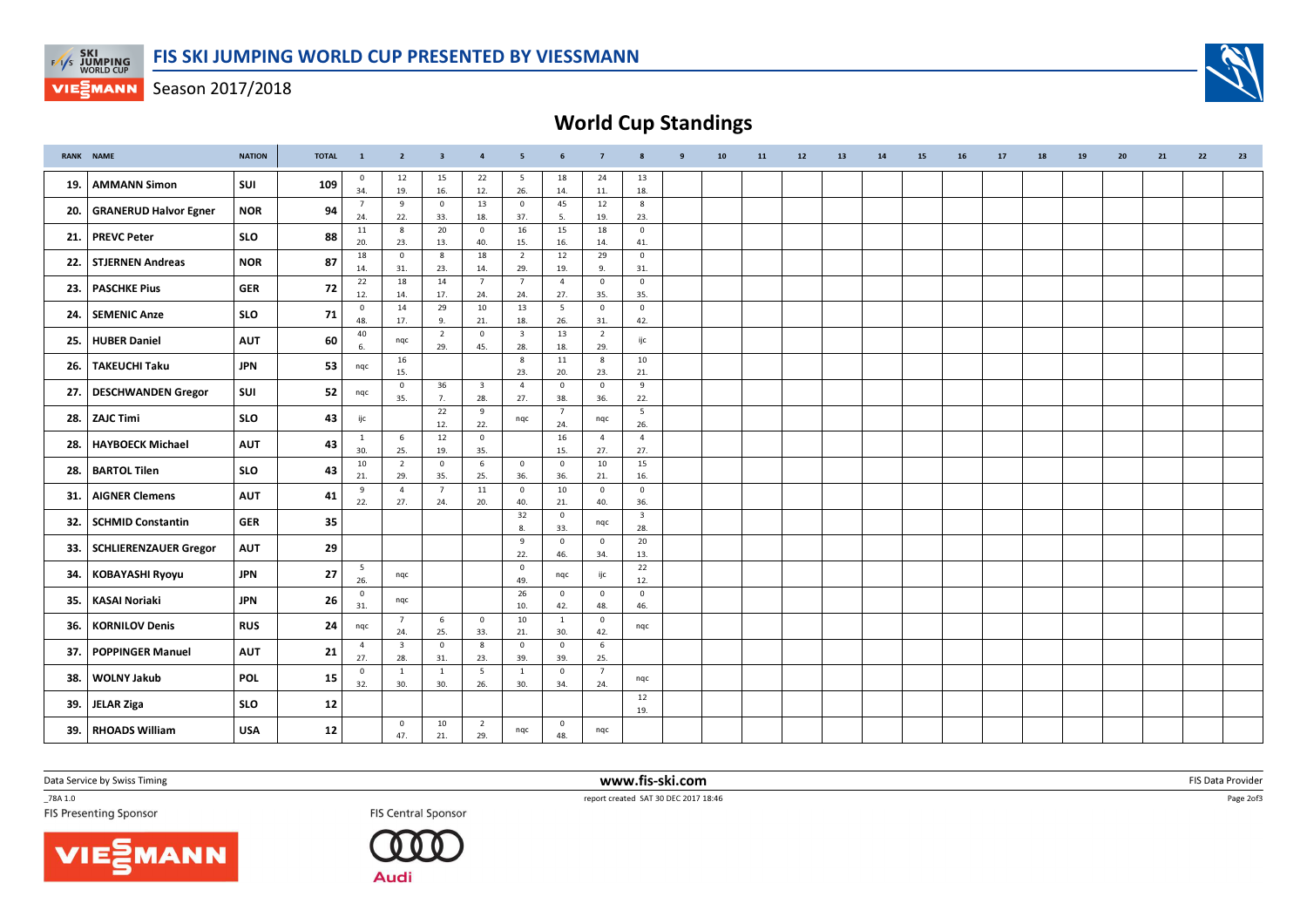

**VIESMANN** Season 2017/2018

World Cup Standings

|       | <b>RANK NAME</b>             | <b>NATION</b> | <b>TOTAL</b> | $\mathbf{1}$           | $\overline{2}$                 | $\overline{\mathbf{3}}$ | $\overline{4}$                 | 5                       | 6                     | $\overline{7}$        | 8                              | -9 | 10 | 11 | 12 | 13 | 14 | 15 | 16 | 17 | 18 | 19 | 20 | 21 | 22 | 23 |
|-------|------------------------------|---------------|--------------|------------------------|--------------------------------|-------------------------|--------------------------------|-------------------------|-----------------------|-----------------------|--------------------------------|----|----|----|----|----|----|----|----|----|----|----|----|----|----|----|
| 19.   | <b>AMMANN Simon</b>          | SUI           | 109          | $\mathbf 0$<br>34.     | 12<br>19.                      | 15<br>16.               | 22<br>12.                      | 5<br>26.                | 18<br>14.             | 24<br>11.             | 13<br>18.                      |    |    |    |    |    |    |    |    |    |    |    |    |    |    |    |
| 20.   | <b>GRANERUD Halvor Egner</b> | <b>NOR</b>    | 94           | -7                     | 9                              | $\overline{0}$          | 13                             | $\,0\,$                 | 45                    | 12                    | 8                              |    |    |    |    |    |    |    |    |    |    |    |    |    |    |    |
|       |                              |               |              | 24.                    | 22.<br>8                       | 33.<br>20               | 18.<br>$\mathbf 0$             | 37.<br>16               | 5.<br>15              | 19.<br>18             | 23.<br>$\overline{0}$          |    |    |    |    |    |    |    |    |    |    |    |    |    |    |    |
| 21.   | <b>PREVC Peter</b>           | <b>SLO</b>    | 88           | 11<br>20.              | 23.                            | 13.                     | 40.                            | 15.                     | 16.                   | 14.                   | 41.                            |    |    |    |    |    |    |    |    |    |    |    |    |    |    |    |
| 22.   | <b>STJERNEN Andreas</b>      | <b>NOR</b>    | 87           | 18                     | $\mathbf{0}$                   | 8                       | 18                             | $\overline{2}$          | 12                    | 29                    | $\overline{0}$                 |    |    |    |    |    |    |    |    |    |    |    |    |    |    |    |
|       |                              |               |              | 14.<br>22              | 31.<br>18                      | 23.<br>14               | 14.<br>$\overline{7}$          | 29.<br>$\overline{7}$   | 19.<br>$\overline{4}$ | 9.<br>$\mathbf 0$     | 31.<br>$\overline{0}$          |    |    |    |    |    |    |    |    |    |    |    |    |    |    |    |
| 23.   | <b>PASCHKE Pius</b>          | <b>GER</b>    | 72           | 12.                    | 14.                            | 17.                     | 24.                            | 24.                     | 27.                   | 35.                   | 35.                            |    |    |    |    |    |    |    |    |    |    |    |    |    |    |    |
| 24.   | <b>SEMENIC Anze</b>          | <b>SLO</b>    | 71           | $\mathbf 0$<br>48.     | 14<br>17.                      | 29<br>9.                | 10<br>21.                      | 13<br>18.               | 5<br>26.              | $\mathbf{0}$<br>31.   | $\overline{0}$<br>42.          |    |    |    |    |    |    |    |    |    |    |    |    |    |    |    |
| 25.   | <b>HUBER Daniel</b>          | <b>AUT</b>    | 60           | 40                     |                                | $\overline{2}$          | $\mathbf 0$                    | $\overline{\mathbf{3}}$ | 13                    | $\overline{2}$        | ijc                            |    |    |    |    |    |    |    |    |    |    |    |    |    |    |    |
|       |                              |               |              | 6.                     | nqc<br>16                      | 29.                     | 45.                            | 28.<br>$_{\rm 8}$       | 18.<br>11             | 29.<br>8              | 10                             |    |    |    |    |    |    |    |    |    |    |    |    |    |    |    |
| 26.   | <b>TAKEUCHI Taku</b>         | <b>JPN</b>    | 53           | ngc                    | 15.                            |                         |                                | 23.                     | 20.                   | 23.                   | 21.                            |    |    |    |    |    |    |    |    |    |    |    |    |    |    |    |
|       | 27. DESCHWANDEN Gregor       | SUI           | 52           | ngc                    | $\mathbf{0}$<br>35.            | 36<br>7.                | $\overline{\mathbf{3}}$<br>28. | $\overline{4}$<br>27.   | $\mathbf{0}$<br>38.   | $\overline{0}$<br>36. | 9<br>22.                       |    |    |    |    |    |    |    |    |    |    |    |    |    |    |    |
| 28.   | ZAJC Timi                    | <b>SLO</b>    | 43           | ijc                    |                                | 22                      | 9                              | nqc                     | $\overline{7}$        | nqc                   | 5                              |    |    |    |    |    |    |    |    |    |    |    |    |    |    |    |
|       |                              |               |              | $\mathbf{1}$           | 6                              | 12.<br>12               | 22.<br>$\mathbf 0$             |                         | 24.<br>16             | $\overline{4}$        | 26.<br>$\overline{4}$          |    |    |    |    |    |    |    |    |    |    |    |    |    |    |    |
| 28.   | <b>HAYBOECK Michael</b>      | <b>AUT</b>    | 43           | 30.                    | 25.                            | 19.                     | 35.                            |                         | 15.                   | 27.                   | 27.                            |    |    |    |    |    |    |    |    |    |    |    |    |    |    |    |
| 28.   | <b>BARTOL Tilen</b>          | <b>SLO</b>    | 43           | 10                     | $\overline{2}$                 | $\overline{0}$          | 6                              | $\mathbf 0$             | $\mathbf 0$           | 10                    | 15                             |    |    |    |    |    |    |    |    |    |    |    |    |    |    |    |
|       |                              |               |              | 21.<br>9               | 29.<br>$\overline{4}$          | 35.<br>$\overline{7}$   | 25.<br>11                      | 36.<br>$\overline{0}$   | 36.<br>10             | 21.<br>$\overline{0}$ | 16.<br>$\overline{0}$          |    |    |    |    |    |    |    |    |    |    |    |    |    |    |    |
| 31.   | <b>AIGNER Clemens</b>        | <b>AUT</b>    | 41           | 22.                    | 27.                            | 24.                     | 20.                            | 40.                     | 21.                   | 40.                   | 36.                            |    |    |    |    |    |    |    |    |    |    |    |    |    |    |    |
| 32.   | <b>SCHMID Constantin</b>     | <b>GER</b>    | 35           |                        |                                |                         |                                | 32<br>8.                | $\mathbf{0}$<br>33.   | nqc                   | $\overline{\mathbf{3}}$<br>28. |    |    |    |    |    |    |    |    |    |    |    |    |    |    |    |
| 33.   | SCHLIERENZAUER Gregor        | <b>AUT</b>    | 29           |                        |                                |                         |                                | 9                       | $\mathbf{0}$          | $\overline{0}$        | 20                             |    |    |    |    |    |    |    |    |    |    |    |    |    |    |    |
|       |                              |               |              |                        |                                |                         |                                | 22.<br>$\overline{0}$   | 46.                   | 34.                   | 13.                            |    |    |    |    |    |    |    |    |    |    |    |    |    |    |    |
| 34.   | <b>KOBAYASHI Ryoyu</b>       | <b>JPN</b>    | 27           | $5\overline{5}$<br>26. | ngc                            |                         |                                | 49.                     | nqc                   | ijc                   | 22<br>12.                      |    |    |    |    |    |    |    |    |    |    |    |    |    |    |    |
| 35.   | <b>KASAI Noriaki</b>         | <b>JPN</b>    | 26           | $\mathbf{0}$<br>31.    | nqc                            |                         |                                | 26<br>10.               | $\mathbf{0}$<br>42.   | $\overline{0}$<br>48. | $\mathbf 0$<br>46.             |    |    |    |    |    |    |    |    |    |    |    |    |    |    |    |
| 36.   | <b>KORNILOV Denis</b>        | <b>RUS</b>    | 24           | ngc                    | $7\overline{ }$                | 6                       | $\mathbf 0$                    | 10                      | 1                     | $\mathbf{0}$          | nqc                            |    |    |    |    |    |    |    |    |    |    |    |    |    |    |    |
|       |                              |               |              | $\overline{4}$         | 24.<br>$\overline{\mathbf{3}}$ | 25.<br>$\overline{0}$   | 33.<br>8                       | 21.<br>$\overline{0}$   | 30.<br>$\mathbf{0}$   | 42.<br>6              |                                |    |    |    |    |    |    |    |    |    |    |    |    |    |    |    |
| 37.   | <b>POPPINGER Manuel</b>      | <b>AUT</b>    | 21           | 27.                    | 28.                            | 31.                     | 23.                            | 39.                     | 39.                   | 25.                   |                                |    |    |    |    |    |    |    |    |    |    |    |    |    |    |    |
| 38.   | <b>WOLNY Jakub</b>           | POL           | 15           | $\mathbf 0$<br>32.     | 1<br>30.                       | <sup>1</sup><br>30.     | 5<br>26.                       | <sup>1</sup><br>30.     | $\mathbf 0$<br>34.    | $7^{\circ}$<br>24.    | nqc                            |    |    |    |    |    |    |    |    |    |    |    |    |    |    |    |
| 39.   | JELAR Ziga                   | <b>SLO</b>    | 12           |                        |                                |                         |                                |                         |                       |                       | 12<br>19.                      |    |    |    |    |    |    |    |    |    |    |    |    |    |    |    |
|       |                              |               |              |                        | $\overline{0}$                 | 10                      | $\overline{2}$                 |                         | $\mathbf 0$           |                       |                                |    |    |    |    |    |    |    |    |    |    |    |    |    |    |    |
| 39. l | <b>RHOADS William</b>        | <b>USA</b>    | 12           |                        | 47.                            | 21.                     | 29.                            | nqc                     | 48.                   | nqc                   |                                |    |    |    |    |    |    |    |    |    |    |    |    |    |    |    |

Data Service by Swiss Timing

\_78A 1.0

VIESMANN



 www.fis-ski.comTES Central Sponsor FIS Central Sponsor FIS Central Sponsor FIS Central Sponsor FIS Presenting Sponsor

m FIS Data Provider<br>Table

Page 2of3